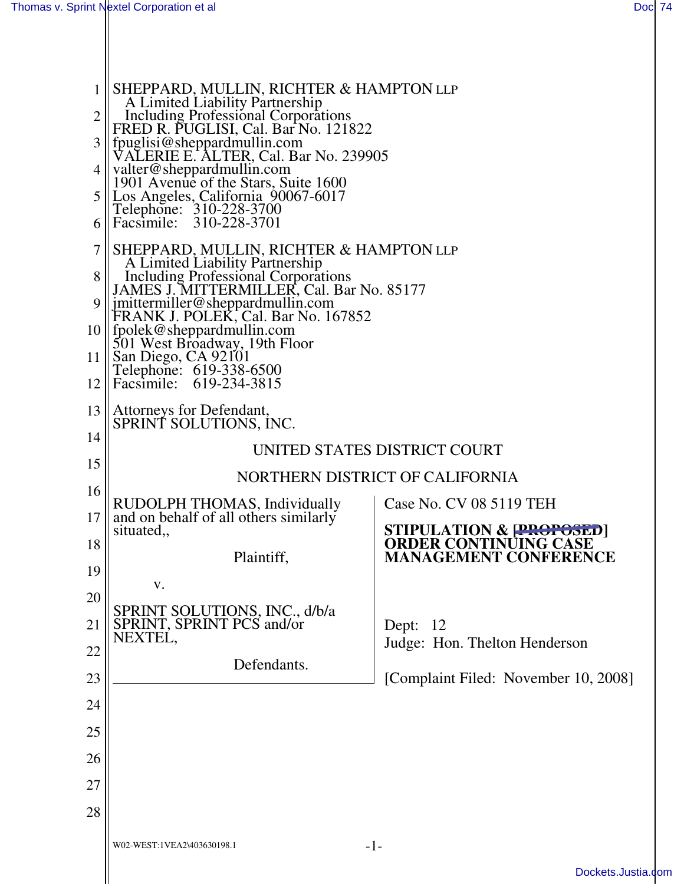| 1<br>2<br>3<br>4<br>5<br>6 | SHEPPARD, MULLIN, RICHTER & HAMPTON LLP<br>A Limited Liability Partnership<br>Including Professional Corporations<br>FRED R. PUGLISI, Cal. Bar No. 121822<br>fpuglisi@sheppardmullin.com<br>VALERIE E. ALTER, Cal. Bar No. 239905<br>valter@sheppardmullin.com<br>1901 Avenue of the Stars, Suite 1600<br>Los Angeles, California 90067-6017<br>Telephone: 310-228-3700<br>Facsimile: 310-228-3701          |                                                         |
|----------------------------|-------------------------------------------------------------------------------------------------------------------------------------------------------------------------------------------------------------------------------------------------------------------------------------------------------------------------------------------------------------------------------------------------------------|---------------------------------------------------------|
| 7<br>8<br>9<br>11<br>12    | SHEPPARD, MULLIN, RICHTER & HAMPTON LLP<br>A Limited Liability Partnership<br><b>Including Professional Corporations</b><br>JAMES J. MITTERMILLER, Cal. Bar No. 85177<br>jmittermiller@sheppardmullin.com<br>FRANK J. POLEK, Cal. Bar No. 167852<br>$10$    fpolek@sheppardmullin.com<br>501 West Broadway, 19th Floor<br>$\vert$ San Diego, CA 92101<br>Telephone: 619-338-6500<br>Facsimile: 619-234-3815 |                                                         |
| 13<br>14                   | Attorneys for Defendant,<br>SPRINT SOLUTIONS, INC.                                                                                                                                                                                                                                                                                                                                                          |                                                         |
| 15                         | UNITED STATES DISTRICT COURT                                                                                                                                                                                                                                                                                                                                                                                |                                                         |
| 16                         | NORTHERN DISTRICT OF CALIFORNIA                                                                                                                                                                                                                                                                                                                                                                             |                                                         |
| 17                         | RUDOLPH THOMAS, Individually<br>and on behalf of all others similarly                                                                                                                                                                                                                                                                                                                                       | Case No. CV 08 5119 TEH                                 |
| 18                         | situated,                                                                                                                                                                                                                                                                                                                                                                                                   | STIPULATION & PROPOSED]<br><b>ORDER CONTINUING CASE</b> |
| 19                         | Plaintiff,                                                                                                                                                                                                                                                                                                                                                                                                  | <b>MANAGEMENT CONFERENCE</b>                            |
| 20                         | V.                                                                                                                                                                                                                                                                                                                                                                                                          |                                                         |
| 21                         | SPRINT SOLUTIONS, INC., d/b/a<br>SPRINT, SPRINT PCS and/or                                                                                                                                                                                                                                                                                                                                                  | Dept: 12                                                |
| 22                         | NEXTEL,                                                                                                                                                                                                                                                                                                                                                                                                     | Judge: Hon. Thelton Henderson                           |
| 23                         | Defendants.                                                                                                                                                                                                                                                                                                                                                                                                 | [Complaint Filed: November 10, 2008]                    |
| 24                         |                                                                                                                                                                                                                                                                                                                                                                                                             |                                                         |
| 25                         |                                                                                                                                                                                                                                                                                                                                                                                                             |                                                         |
| 26                         |                                                                                                                                                                                                                                                                                                                                                                                                             |                                                         |
| 27                         |                                                                                                                                                                                                                                                                                                                                                                                                             |                                                         |
| 28                         |                                                                                                                                                                                                                                                                                                                                                                                                             |                                                         |
|                            |                                                                                                                                                                                                                                                                                                                                                                                                             |                                                         |
|                            | $-1-$<br>W02-WEST:1VEA2\403630198.1                                                                                                                                                                                                                                                                                                                                                                         |                                                         |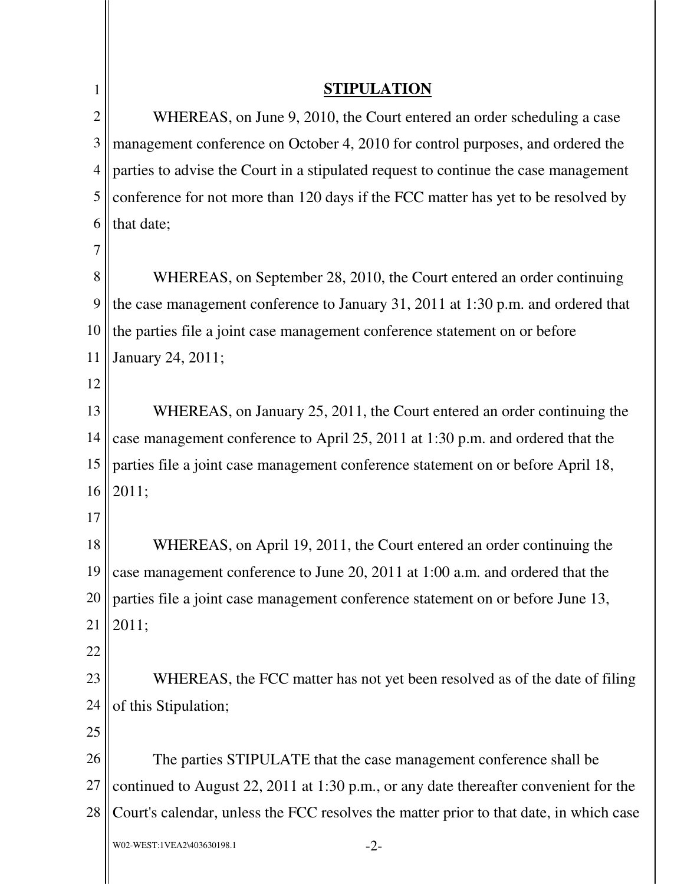| 1              | <b>STIPULATION</b>                                                                     |  |
|----------------|----------------------------------------------------------------------------------------|--|
| $\overline{2}$ | WHEREAS, on June 9, 2010, the Court entered an order scheduling a case                 |  |
| 3              | management conference on October 4, 2010 for control purposes, and ordered the         |  |
| $\overline{4}$ | parties to advise the Court in a stipulated request to continue the case management    |  |
| 5              | conference for not more than 120 days if the FCC matter has yet to be resolved by      |  |
| 6              | that date;                                                                             |  |
| 7              |                                                                                        |  |
| 8              | WHEREAS, on September 28, 2010, the Court entered an order continuing                  |  |
| 9              | the case management conference to January 31, 2011 at 1:30 p.m. and ordered that       |  |
| 10             | the parties file a joint case management conference statement on or before             |  |
| 11             | January 24, 2011;                                                                      |  |
| 12             |                                                                                        |  |
| 13             | WHEREAS, on January 25, 2011, the Court entered an order continuing the                |  |
| 14             | case management conference to April 25, 2011 at 1:30 p.m. and ordered that the         |  |
| 15             | parties file a joint case management conference statement on or before April 18,       |  |
| 16             | 2011;                                                                                  |  |
| 17             |                                                                                        |  |
| 18             | WHEREAS, on April 19, 2011, the Court entered an order continuing the                  |  |
| 19             | case management conference to June 20, 2011 at 1:00 a.m. and ordered that the          |  |
| 20             | parties file a joint case management conference statement on or before June 13,        |  |
| 21             | 2011;                                                                                  |  |
| 22             |                                                                                        |  |
| 23             | WHEREAS, the FCC matter has not yet been resolved as of the date of filing             |  |
| 24             | of this Stipulation;                                                                   |  |
| 25             |                                                                                        |  |
| 26             | The parties STIPULATE that the case management conference shall be                     |  |
| 27             | continued to August 22, 2011 at 1:30 p.m., or any date thereafter convenient for the   |  |
| 28             | Court's calendar, unless the FCC resolves the matter prior to that date, in which case |  |
|                | $-2-$<br>W02-WEST:1VEA2\403630198.1                                                    |  |
|                |                                                                                        |  |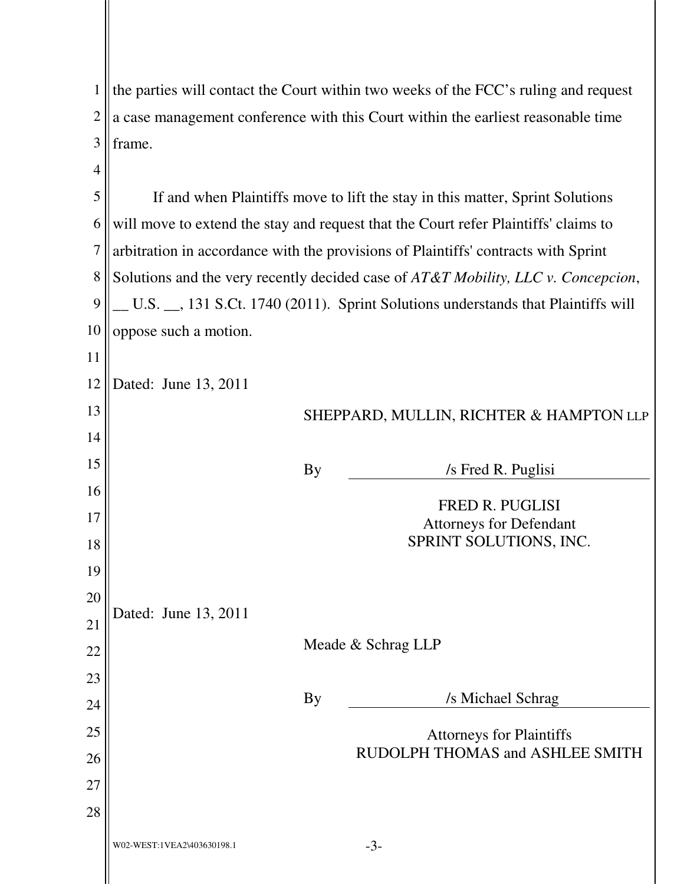| $\mathbf{1}$   | the parties will contact the Court within two weeks of the FCC's ruling and request |  |  |
|----------------|-------------------------------------------------------------------------------------|--|--|
| $\overline{2}$ | a case management conference with this Court within the earliest reasonable time    |  |  |
| 3              | frame.                                                                              |  |  |
| $\overline{4}$ |                                                                                     |  |  |
| 5              | If and when Plaintiffs move to lift the stay in this matter, Sprint Solutions       |  |  |
| 6              | will move to extend the stay and request that the Court refer Plaintiffs' claims to |  |  |
| 7              | arbitration in accordance with the provisions of Plaintiffs' contracts with Sprint  |  |  |
| 8              | Solutions and the very recently decided case of AT&T Mobility, LLC v. Concepcion,   |  |  |
| 9              | U.S. __, 131 S.Ct. 1740 (2011). Sprint Solutions understands that Plaintiffs will   |  |  |
| 10             | oppose such a motion.                                                               |  |  |
| 11             |                                                                                     |  |  |
| 12             | Dated: June 13, 2011                                                                |  |  |
| 13             | SHEPPARD, MULLIN, RICHTER & HAMPTON LLP                                             |  |  |
| 14             |                                                                                     |  |  |
| 15             | <b>By</b><br>/s Fred R. Puglisi                                                     |  |  |
| 16             | <b>FRED R. PUGLISI</b>                                                              |  |  |
| 17             | <b>Attorneys for Defendant</b>                                                      |  |  |
| 18             | SPRINT SOLUTIONS, INC.                                                              |  |  |
| 19             |                                                                                     |  |  |
| 20             | Dated: June 13, 2011                                                                |  |  |
| 21             | Meade & Schrag LLP                                                                  |  |  |
| 22             |                                                                                     |  |  |
| 23             | /s Michael Schrag<br><b>By</b>                                                      |  |  |
| 24             |                                                                                     |  |  |
| 25             | <b>Attorneys for Plaintiffs</b><br>RUDOLPH THOMAS and ASHLEE SMITH                  |  |  |
| 26             |                                                                                     |  |  |
| 27             |                                                                                     |  |  |
| 28             |                                                                                     |  |  |
|                | $-3-$<br>W02-WEST:1VEA2\403630198.1                                                 |  |  |
|                |                                                                                     |  |  |